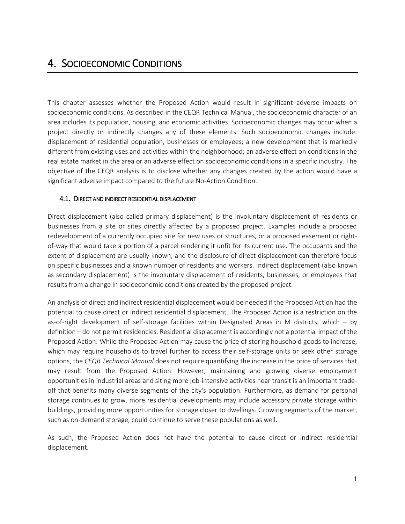# 4. SOCIOECONOMIC CONDITIONS

This chapter assesses whether the Proposed Action would result in significant adverse impacts on socioeconomic conditions. As described in the CEQR Technical Manual, the socioeconomic character of an area includes its population, housing, and economic activities. Socioeconomic changes may occur when a project directly or indirectly changes any of these elements. Such socioeconomic changes include: displacement of residential population, businesses or employees; a new development that is markedly different from existing uses and activities within the neighborhood; an adverse effect on conditions in the real estate market in the area or an adverse effect on socioeconomic conditions in a specific industry. The objective of the CEQR analysis is to disclose whether any changes created by the action would have a significant adverse impact compared to the future No-Action Condition.

#### 4.1. DIRECT AND INDIRECT RESIDENTIAL DISPLACEMENT

Direct displacement (also called primary displacement) is the involuntary displacement of residents or businesses from a site or sites directly affected by a proposed project. Examples include a proposed redevelopment of a currently occupied site for new uses or structures, or a proposed easement or rightof-way that would take a portion of a parcel rendering it unfit for its current use. The occupants and the extent of displacement are usually known, and the disclosure of direct displacement can therefore focus on specific businesses and a known number of residents and workers. Indirect displacement (also known as secondary displacement) is the involuntary displacement of residents, businesses, or employees that results from a change in socioeconomic conditions created by the proposed project.

An analysis of direct and indirect residential displacement would be needed if the Proposed Action had the potential to cause direct or indirect residential displacement. The Proposed Action is a restriction on the as-of-right development of self-storage facilities within Designated Areas in M districts, which – by definition – do not permit residencies. Residential displacement is accordingly not a potential impact of the Proposed Action. While the Proposed Action may cause the price of storing household goods to increase, which may require households to travel further to access their self-storage units or seek other storage options, the *CEQR Technical Manual* does not require quantifying the increase in the price of services that may result from the Proposed Action. However, maintaining and growing diverse employment opportunities in industrial areas and siting more job-intensive activities near transit is an important tradeoff that benefits many diverse segments of the city's population. Furthermore, as demand for personal storage continues to grow, more residential developments may include accessory private storage within buildings, providing more opportunities for storage closer to dwellings. Growing segments of the market, such as on-demand storage, could continue to serve these populations as well.

As such, the Proposed Action does not have the potential to cause direct or indirect residential displacement.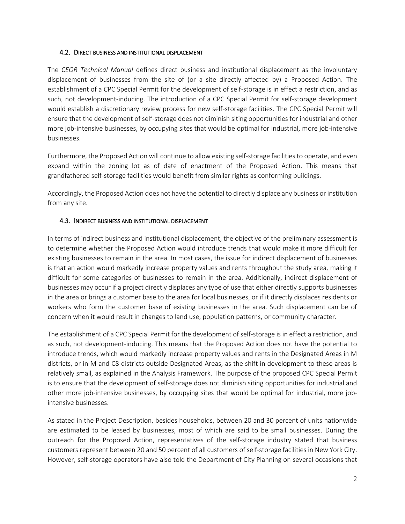## 4.2. DIRECT BUSINESS AND INSTITUTIONAL DISPLACEMENT

The *CEQR Technical Manual* defines direct business and institutional displacement as the involuntary displacement of businesses from the site of (or a site directly affected by) a Proposed Action. The establishment of a CPC Special Permit for the development of self-storage is in effect a restriction, and as such, not development-inducing. The introduction of a CPC Special Permit for self-storage development would establish a discretionary review process for new self-storage facilities. The CPC Special Permit will ensure that the development of self-storage does not diminish siting opportunities for industrial and other more job-intensive businesses, by occupying sites that would be optimal for industrial, more job-intensive businesses.

Furthermore, the Proposed Action will continue to allow existing self-storage facilities to operate, and even expand within the zoning lot as of date of enactment of the Proposed Action. This means that grandfathered self-storage facilities would benefit from similar rights as conforming buildings.

Accordingly, the Proposed Action does not have the potential to directly displace any business or institution from any site.

## 4.3. INDIRECT BUSINESS AND INSTITUTIONAL DISPLACEMENT

In terms of indirect business and institutional displacement, the objective of the preliminary assessment is to determine whether the Proposed Action would introduce trends that would make it more difficult for existing businesses to remain in the area. In most cases, the issue for indirect displacement of businesses is that an action would markedly increase property values and rents throughout the study area, making it difficult for some categories of businesses to remain in the area. Additionally, indirect displacement of businesses may occur if a project directly displaces any type of use that either directly supports businesses in the area or brings a customer base to the area for local businesses, or if it directly displaces residents or workers who form the customer base of existing businesses in the area. Such displacement can be of concern when it would result in changes to land use, population patterns, or community character.

The establishment of a CPC Special Permit for the development of self-storage is in effect a restriction, and as such, not development-inducing. This means that the Proposed Action does not have the potential to introduce trends, which would markedly increase property values and rents in the Designated Areas in M districts, or in M and C8 districts outside Designated Areas, as the shift in development to these areas is relatively small, as explained in the Analysis Framework. The purpose of the proposed CPC Special Permit is to ensure that the development of self-storage does not diminish siting opportunities for industrial and other more job-intensive businesses, by occupying sites that would be optimal for industrial, more jobintensive businesses.

As stated in the Project Description, besides households, between 20 and 30 percent of units nationwide are estimated to be leased by businesses, most of which are said to be small businesses. During the outreach for the Proposed Action, representatives of the self-storage industry stated that business customers represent between 20 and 50 percent of all customers of self-storage facilities in New York City. However, self-storage operators have also told the Department of City Planning on several occasions that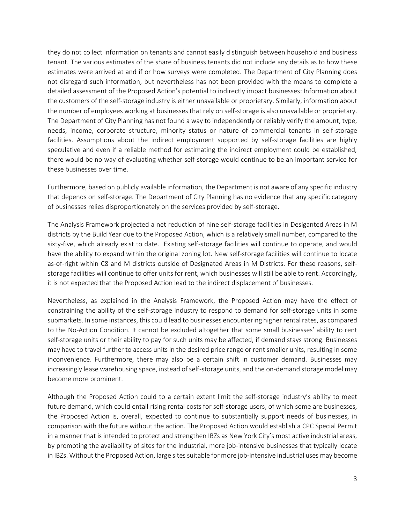they do not collect information on tenants and cannot easily distinguish between household and business tenant. The various estimates of the share of business tenants did not include any details as to how these estimates were arrived at and if or how surveys were completed. The Department of City Planning does not disregard such information, but nevertheless has not been provided with the means to complete a detailed assessment of the Proposed Action's potential to indirectly impact businesses: Information about the customers of the self-storage industry is either unavailable or proprietary. Similarly, information about the number of employees working at businesses that rely on self-storage is also unavailable or proprietary. The Department of City Planning has not found a way to independently or reliably verify the amount, type, needs, income, corporate structure, minority status or nature of commercial tenants in self-storage facilities. Assumptions about the indirect employment supported by self-storage facilities are highly speculative and even if a reliable method for estimating the indirect employment could be established, there would be no way of evaluating whether self-storage would continue to be an important service for these businesses over time.

Furthermore, based on publicly available information, the Department is not aware of any specific industry that depends on self-storage. The Department of City Planning has no evidence that any specific category of businesses relies disproportionately on the services provided by self-storage.

The Analysis Framework projected a net reduction of nine self-storage facilities in Desiganted Areas in M districts by the Build Year due to the Proposed Action, which is a relatively small number, compared to the sixty-five, which already exist to date. Existing self-storage facilities will continue to operate, and would have the ability to expand within the original zoning lot. New self-storage facilities will continue to locate as-of-right within C8 and M districts outside of Designated Areas in M Districts. For these reasons, selfstorage facilities will continue to offer units for rent, which businesses will still be able to rent. Accordingly, it is not expected that the Proposed Action lead to the indirect displacement of businesses.

Nevertheless, as explained in the Analysis Framework, the Proposed Action may have the effect of constraining the ability of the self-storage industry to respond to demand for self-storage units in some submarkets. In some instances, this could lead to businesses encountering higher rental rates, as compared to the No-Action Condition. It cannot be excluded altogether that some small businesses' ability to rent self-storage units or their ability to pay for such units may be affected, if demand stays strong. Businesses may have to travel further to access units in the desired price range or rent smaller units, resulting in some inconvenience. Furthermore, there may also be a certain shift in customer demand. Businesses may increasingly lease warehousing space, instead of self-storage units, and the on-demand storage model may become more prominent.

Although the Proposed Action could to a certain extent limit the self-storage industry's ability to meet future demand, which could entail rising rental costs for self-storage users, of which some are businesses, the Proposed Action is, overall, expected to continue to substantially support needs of businesses, in comparison with the future without the action. The Proposed Action would establish a CPC Special Permit in a manner that is intended to protect and strengthen IBZs as New York City's most active industrial areas, by promoting the availability of sites for the industrial, more job-intensive businesses that typically locate in IBZs. Without the Proposed Action, large sites suitable for more job-intensive industrial uses may become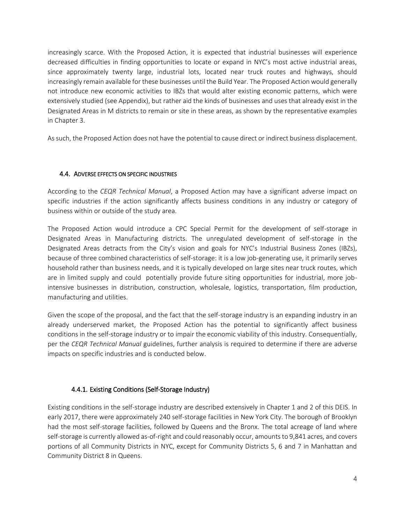increasingly scarce. With the Proposed Action, it is expected that industrial businesses will experience decreased difficulties in finding opportunities to locate or expand in NYC's most active industrial areas, since approximately twenty large, industrial lots, located near truck routes and highways, should increasingly remain available for these businesses until the Build Year. The Proposed Action would generally not introduce new economic activities to IBZs that would alter existing economic patterns, which were extensively studied (see Appendix), but rather aid the kinds of businesses and uses that already exist in the Designated Areas in M districts to remain or site in these areas, as shown by the representative examples in Chapter 3.

As such, the Proposed Action does not have the potential to cause direct or indirect business displacement.

## 4.4. ADVERSE EFFECTS ON SPECIFIC INDUSTRIES

According to the *CEQR Technical Manual*, a Proposed Action may have a significant adverse impact on specific industries if the action significantly affects business conditions in any industry or category of business within or outside of the study area.

The Proposed Action would introduce a CPC Special Permit for the development of self-storage in Designated Areas in Manufacturing districts. The unregulated development of self-storage in the Designated Areas detracts from the City's vision and goals for NYC's Industrial Business Zones (IBZs), because of three combined characteristics of self-storage: it is a low job-generating use, it primarily serves household rather than business needs, and it is typically developed on large sites near truck routes, which are in limited supply and could potentially provide future siting opportunities for industrial, more jobintensive businesses in distribution, construction, wholesale, logistics, transportation, film production, manufacturing and utilities.

Given the scope of the proposal, and the fact that the self-storage industry is an expanding industry in an already underserved market, the Proposed Action has the potential to significantly affect business conditions in the self-storage industry or to impair the economic viability of this industry. Consequentially, per the *CEQR Technical Manual* guidelines, further analysis is required to determine if there are adverse impacts on specific industries and is conducted below.

## 4.4.1. Existing Conditions (Self-Storage Industry)

Existing conditions in the self-storage industry are described extensively in Chapter 1 and 2 of this DEIS. In early 2017, there were approximately 240 self-storage facilities in New York City. The borough of Brooklyn had the most self-storage facilities, followed by Queens and the Bronx. The total acreage of land where self-storage is currently allowed as-of-right and could reasonably occur, amounts to 9,841 acres, and covers portions of all Community Districts in NYC, except for Community Districts 5, 6 and 7 in Manhattan and Community District 8 in Queens.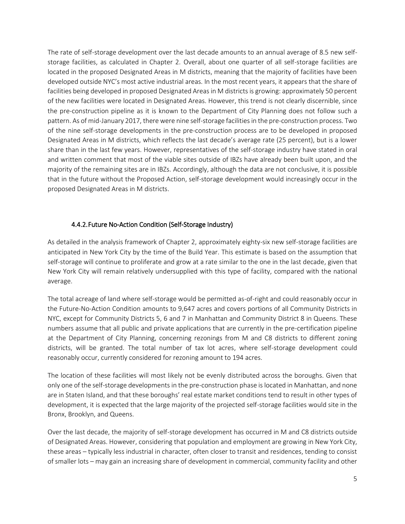The rate of self-storage development over the last decade amounts to an annual average of 8.5 new selfstorage facilities, as calculated in Chapter 2. Overall, about one quarter of all self-storage facilities are located in the proposed Designated Areas in M districts, meaning that the majority of facilities have been developed outside NYC's most active industrial areas. In the most recent years, it appears that the share of facilities being developed in proposed Designated Areas in M districts is growing: approximately 50 percent of the new facilities were located in Designated Areas. However, this trend is not clearly discernible, since the pre-construction pipeline as it is known to the Department of City Planning does not follow such a pattern. As of mid-January 2017, there were nine self-storage facilities in the pre-construction process. Two of the nine self-storage developments in the pre-construction process are to be developed in proposed Designated Areas in M districts, which reflects the last decade's average rate (25 percent), but is a lower share than in the last few years. However, representatives of the self-storage industry have stated in oral and written comment that most of the viable sites outside of IBZs have already been built upon, and the majority of the remaining sites are in IBZs. Accordingly, although the data are not conclusive, it is possible that in the future without the Proposed Action, self-storage development would increasingly occur in the proposed Designated Areas in M districts.

## 4.4.2.Future No-Action Condition (Self-Storage Industry)

As detailed in the analysis framework of Chapter 2, approximately eighty-six new self-storage facilities are anticipated in New York City by the time of the Build Year. This estimate is based on the assumption that self-storage will continue to proliferate and grow at a rate similar to the one in the last decade, given that New York City will remain relatively undersupplied with this type of facility, compared with the national average.

The total acreage of land where self-storage would be permitted as-of-right and could reasonably occur in the Future-No-Action Condition amounts to 9,647 acres and covers portions of all Community Districts in NYC, except for Community Districts 5, 6 and 7 in Manhattan and Community District 8 in Queens. These numbers assume that all public and private applications that are currently in the pre-certification pipeline at the Department of City Planning, concerning rezonings from M and C8 districts to different zoning districts, will be granted. The total number of tax lot acres, where self-storage development could reasonably occur, currently considered for rezoning amount to 194 acres.

The location of these facilities will most likely not be evenly distributed across the boroughs. Given that only one of the self-storage developments in the pre-construction phase is located in Manhattan, and none are in Staten Island, and that these boroughs' real estate market conditions tend to result in other types of development, it is expected that the large majority of the projected self-storage facilities would site in the Bronx, Brooklyn, and Queens.

Over the last decade, the majority of self-storage development has occurred in M and C8 districts outside of Designated Areas. However, considering that population and employment are growing in New York City, these areas – typically less industrial in character, often closer to transit and residences, tending to consist of smaller lots – may gain an increasing share of development in commercial, community facility and other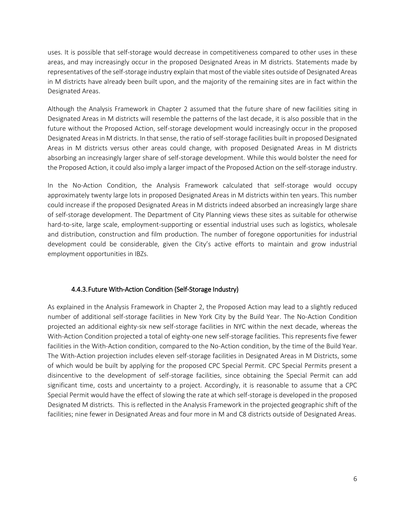uses. It is possible that self-storage would decrease in competitiveness compared to other uses in these areas, and may increasingly occur in the proposed Designated Areas in M districts. Statements made by representatives of the self-storage industry explain that most of the viable sites outside of Designated Areas in M districts have already been built upon, and the majority of the remaining sites are in fact within the Designated Areas.

Although the Analysis Framework in Chapter 2 assumed that the future share of new facilities siting in Designated Areas in M districts will resemble the patterns of the last decade, it is also possible that in the future without the Proposed Action, self-storage development would increasingly occur in the proposed Designated Areas in M districts. In that sense, the ratio of self-storage facilities built in proposed Designated Areas in M districts versus other areas could change, with proposed Designated Areas in M districts absorbing an increasingly larger share of self-storage development. While this would bolster the need for the Proposed Action, it could also imply a larger impact of the Proposed Action on the self-storage industry.

In the No-Action Condition, the Analysis Framework calculated that self-storage would occupy approximately twenty large lots in proposed Designated Areas in M districts within ten years. This number could increase if the proposed Designated Areas in M districts indeed absorbed an increasingly large share of self-storage development. The Department of City Planning views these sites as suitable for otherwise hard-to-site, large scale, employment-supporting or essential industrial uses such as logistics, wholesale and distribution, construction and film production. The number of foregone opportunities for industrial development could be considerable, given the City's active efforts to maintain and grow industrial employment opportunities in IBZs.

## 4.4.3.Future With-Action Condition (Self-Storage Industry)

As explained in the Analysis Framework in Chapter 2, the Proposed Action may lead to a slightly reduced number of additional self-storage facilities in New York City by the Build Year. The No-Action Condition projected an additional eighty-six new self-storage facilities in NYC within the next decade, whereas the With-Action Condition projected a total of eighty-one new self-storage facilities. This represents five fewer facilities in the With-Action condition, compared to the No-Action condition, by the time of the Build Year. The With-Action projection includes eleven self-storage facilities in Designated Areas in M Districts, some of which would be built by applying for the proposed CPC Special Permit. CPC Special Permits present a disincentive to the development of self-storage facilities, since obtaining the Special Permit can add significant time, costs and uncertainty to a project. Accordingly, it is reasonable to assume that a CPC Special Permit would have the effect of slowing the rate at which self-storage is developed in the proposed Designated M districts. This is reflected in the Analysis Framework in the projected geographic shift of the facilities; nine fewer in Designated Areas and four more in M and C8 districts outside of Designated Areas.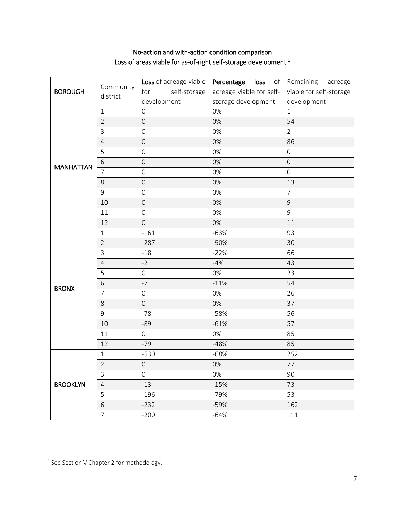## No-action and with-action condition comparison Loss of areas viable for as-of-right self-storage development <sup>1</sup>

| <b>BOROUGH</b>   | Community<br>district | Loss of acreage viable | Percentage loss          | of Remaining acreage    |
|------------------|-----------------------|------------------------|--------------------------|-------------------------|
|                  |                       | for<br>self-storage    | acreage viable for self- | viable for self-storage |
|                  |                       | development            | storage development      | development             |
| <b>MANHATTAN</b> | $\mathbf{1}$          | $\Omega$               | 0%                       | $\mathbf{1}$            |
|                  | $\overline{2}$        | $\overline{0}$         | 0%                       | 54                      |
|                  | 3                     | $\mathbf 0$            | 0%                       | $\overline{2}$          |
|                  | $\overline{4}$        | $\mathsf{O}$           | 0%                       | 86                      |
|                  | 5                     | $\mathsf{O}\xspace$    | 0%                       | $\mathsf{O}\xspace$     |
|                  | 6                     | $\boldsymbol{0}$       | 0%                       | $\mathsf{O}$            |
|                  | $\overline{7}$        | $\overline{0}$         | 0%                       | $\mathbf 0$             |
|                  | 8                     | $\overline{O}$         | 0%                       | 13                      |
|                  | 9                     | $\overline{0}$         | 0%                       | $\overline{7}$          |
|                  | 10                    | $\overline{0}$         | 0%                       | 9                       |
|                  | 11                    | $\boldsymbol{0}$       | 0%                       | 9                       |
|                  | 12                    | $\overline{0}$         | 0%                       | 11                      |
| <b>BRONX</b>     | $\mathbf{1}$          | $-161$                 | $-63%$                   | 93                      |
|                  | $\overline{2}$        | $-287$                 | $-90%$                   | 30                      |
|                  | $\overline{3}$        | $-18$                  | $-22%$                   | 66                      |
|                  | $\overline{4}$        | $-2$                   | $-4%$                    | 43                      |
|                  | 5                     | $\overline{0}$         | 0%                       | 23                      |
|                  | 6                     | $-7$                   | $-11%$                   | 54                      |
|                  | $\overline{7}$        | $\mathsf{O}\xspace$    | 0%                       | 26                      |
|                  | 8                     | $\overline{0}$         | 0%                       | 37                      |
|                  | 9                     | $-78$                  | $-58%$                   | 56                      |
|                  | 10                    | $-89$                  | $-61%$                   | 57                      |
|                  | 11                    | $\mathsf{O}\xspace$    | 0%                       | 85                      |
|                  | 12                    | $-79$                  | $-48%$                   | 85                      |
| <b>BROOKLYN</b>  | $\mathbf{1}$          | $-530$                 | $-68%$                   | 252                     |
|                  | $\overline{2}$        | $\mathsf{O}\xspace$    | 0%                       | 77                      |
|                  | $\overline{3}$        | $\overline{0}$         | 0%                       | 90                      |
|                  | $\overline{4}$        | $-13$                  | $-15%$                   | 73                      |
|                  | 5                     | $-196$                 | $-79%$                   | 53                      |
|                  | $\sqrt{6}$            | $-232$                 | $-59%$                   | 162                     |
|                  | $\overline{7}$        | $-200$                 | $-64%$                   | 111                     |

l

<sup>&</sup>lt;sup>1</sup> See Section V Chapter 2 for methodology.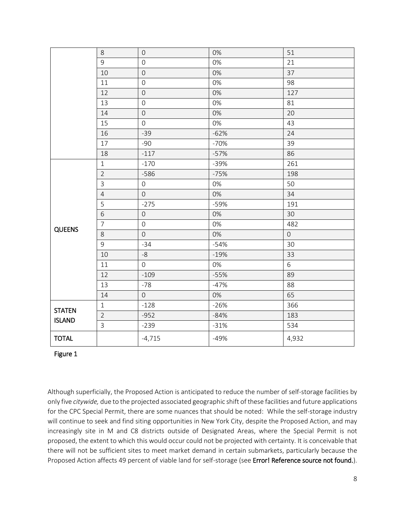|                                | $8\,$          | $\mathbf 0$         | 0%     | 51          |
|--------------------------------|----------------|---------------------|--------|-------------|
|                                | 9              | $\mathsf{O}\xspace$ | 0%     | 21          |
|                                | 10             | $\mathbf 0$         | 0%     | 37          |
|                                | 11             | $\mathsf{O}\xspace$ | 0%     | 98          |
|                                | 12             | $\overline{0}$      | 0%     | 127         |
|                                | 13             | $\mathsf{O}\xspace$ | 0%     | 81          |
|                                | 14             | $\boldsymbol{0}$    | 0%     | 20          |
|                                | 15             | $\mathbf 0$         | 0%     | 43          |
|                                | 16             | $-39$               | $-62%$ | 24          |
|                                | 17             | $-90$               | $-70%$ | 39          |
|                                | 18             | $-117$              | $-57%$ | 86          |
| <b>QUEENS</b>                  | $\mathbf{1}$   | $-170$              | $-39%$ | 261         |
|                                | $\overline{2}$ | $-586$              | $-75%$ | 198         |
|                                | $\overline{3}$ | $\mathsf{O}\xspace$ | 0%     | 50          |
|                                | $\overline{4}$ | $\mathsf{O}\xspace$ | 0%     | 34          |
|                                | 5              | $-275$              | $-59%$ | 191         |
|                                | 6              | $\boldsymbol{0}$    | 0%     | 30          |
|                                | $\overline{7}$ | $\boldsymbol{0}$    | 0%     | 482         |
|                                | 8              | $\mathbf 0$         | 0%     | $\mathbf 0$ |
|                                | 9              | $-34$               | $-54%$ | 30          |
|                                | 10             | $-8$                | $-19%$ | 33          |
|                                | 11             | $\overline{O}$      | 0%     | $6\,$       |
|                                | 12             | $-109$              | $-55%$ | 89          |
|                                | 13             | $-78$               | $-47%$ | 88          |
|                                | 14             | $\overline{0}$      | 0%     | 65          |
| <b>STATEN</b><br><b>ISLAND</b> | $1\,$          | $-128$              | $-26%$ | 366         |
|                                | $\overline{2}$ | $-952$              | $-84%$ | 183         |
|                                | $\overline{3}$ | $-239$              | $-31%$ | 534         |
| <b>TOTAL</b>                   |                | $-4,715$            | $-49%$ | 4,932       |

## Figure 1

Although superficially, the Proposed Action is anticipated to reduce the number of self-storage facilities by only five *citywide,* due to the projected associated geographic shift of these facilities and future applications for the CPC Special Permit, there are some nuances that should be noted: While the self-storage industry will continue to seek and find siting opportunities in New York City, despite the Proposed Action, and may increasingly site in M and C8 districts outside of Designated Areas, where the Special Permit is not proposed, the extent to which this would occur could not be projected with certainty. It is conceivable that there will not be sufficient sites to meet market demand in certain submarkets, particularly because the Proposed Action affects 49 percent of viable land for self-storage (see Error! Reference source not found.).